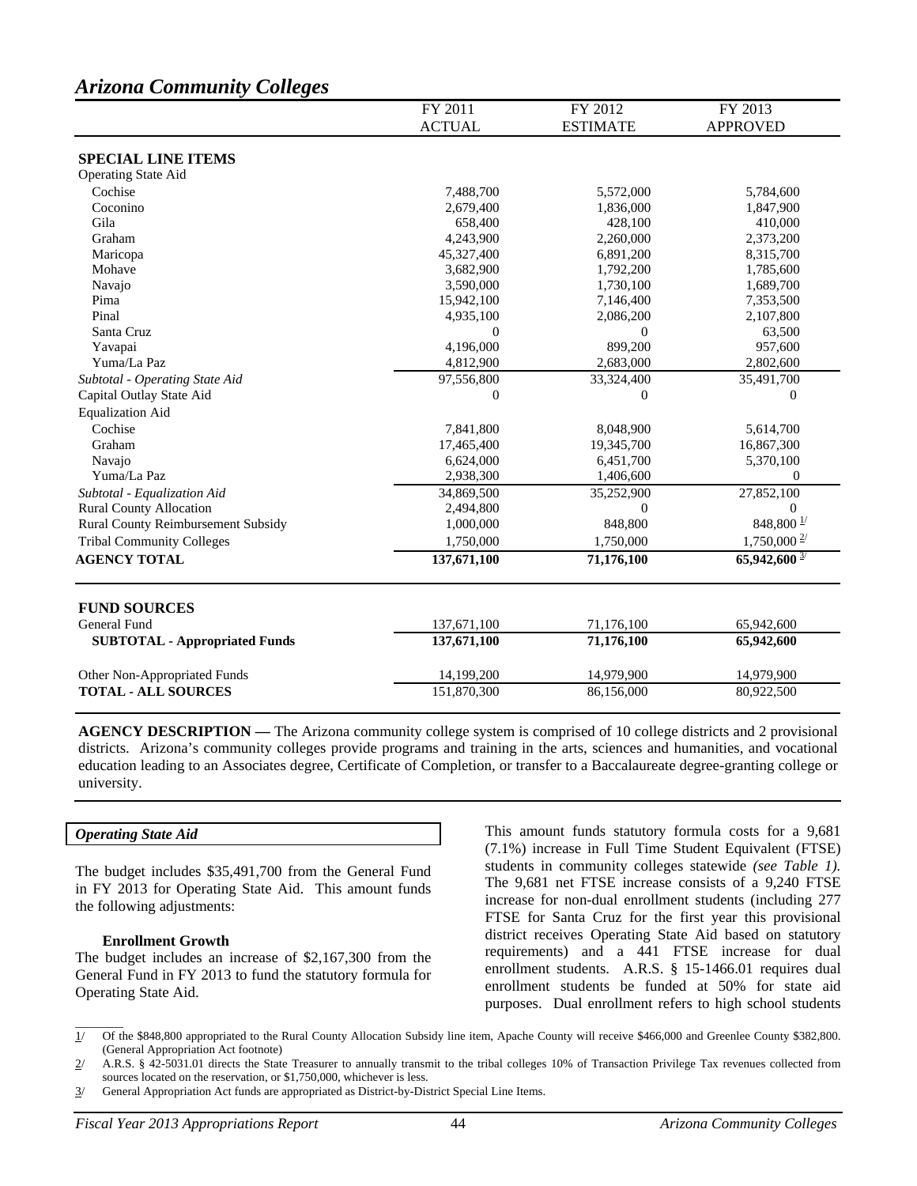# *Arizona Community Colleges*

|                                      | FY 2011       | FY 2012         | FY 2013                    |
|--------------------------------------|---------------|-----------------|----------------------------|
|                                      | <b>ACTUAL</b> | <b>ESTIMATE</b> | <b>APPROVED</b>            |
| <b>SPECIAL LINE ITEMS</b>            |               |                 |                            |
| <b>Operating State Aid</b>           |               |                 |                            |
| Cochise                              | 7,488,700     | 5,572,000       | 5,784,600                  |
| Coconino                             | 2,679,400     | 1,836,000       | 1,847,900                  |
| Gila                                 | 658,400       | 428,100         | 410,000                    |
| Graham                               | 4,243,900     | 2,260,000       | 2,373,200                  |
| Maricopa                             | 45,327,400    | 6,891,200       | 8,315,700                  |
| Mohave                               | 3,682,900     | 1,792,200       | 1,785,600                  |
| Navajo                               | 3,590,000     | 1,730,100       | 1,689,700                  |
| Pima                                 | 15,942,100    | 7,146,400       | 7,353,500                  |
| Pinal                                | 4,935,100     | 2,086,200       | 2,107,800                  |
| Santa Cruz                           | $\Omega$      | $\Omega$        | 63,500                     |
| Yavapai                              | 4,196,000     | 899,200         | 957,600                    |
| Yuma/La Paz                          | 4,812,900     | 2,683,000       | 2,802,600                  |
| Subtotal - Operating State Aid       | 97,556,800    | 33,324,400      | 35,491,700                 |
| Capital Outlay State Aid             | $\Omega$      | $\Omega$        | $\overline{0}$             |
| <b>Equalization Aid</b>              |               |                 |                            |
| Cochise                              | 7,841,800     | 8,048,900       | 5,614,700                  |
| Graham                               | 17,465,400    | 19,345,700      | 16,867,300                 |
| Navajo                               | 6,624,000     | 6,451,700       | 5,370,100                  |
| Yuma/La Paz                          | 2,938,300     | 1,406,600       | $\mathbf{0}$               |
| Subtotal - Equalization Aid          | 34,869,500    | 35,252,900      | 27,852,100                 |
| <b>Rural County Allocation</b>       | 2,494,800     | $\Omega$        | $\Omega$                   |
| Rural County Reimbursement Subsidy   | 1,000,000     | 848,800         | 848,800 $1/$               |
| <b>Tribal Community Colleges</b>     | 1,750,000     | 1,750,000       | $1,750,000\frac{2}{3}$     |
| <b>AGENCY TOTAL</b>                  | 137,671,100   | 71,176,100      | $65,942,600$ <sup>3/</sup> |
|                                      |               |                 |                            |
| <b>FUND SOURCES</b>                  |               |                 |                            |
| General Fund                         | 137,671,100   | 71,176,100      | 65,942,600                 |
| <b>SUBTOTAL - Appropriated Funds</b> | 137,671,100   | 71,176,100      | 65,942,600                 |
| Other Non-Appropriated Funds         | 14,199,200    | 14,979,900      | 14,979,900                 |
| <b>TOTAL - ALL SOURCES</b>           | 151,870,300   | 86,156,000      | 80,922,500                 |
|                                      |               |                 |                            |

**AGENCY DESCRIPTION —** The Arizona community college system is comprised of 10 college districts and 2 provisional districts. Arizona's community colleges provide programs and training in the arts, sciences and humanities, and vocational education leading to an Associates degree, Certificate of Completion, or transfer to a Baccalaureate degree-granting college or university.

## *Operating State Aid*

 $\overline{\phantom{a}}$ 

The budget includes \$35,491,700 from the General Fund in FY 2013 for Operating State Aid. This amount funds the following adjustments:

#### **Enrollment Growth**

The budget includes an increase of \$2,167,300 from the General Fund in FY 2013 to fund the statutory formula for Operating State Aid.

This amount funds statutory formula costs for a 9,681 (7.1%) increase in Full Time Student Equivalent (FTSE) students in community colleges statewide *(see Table 1).* The 9,681 net FTSE increase consists of a 9,240 FTSE increase for non-dual enrollment students (including 277 FTSE for Santa Cruz for the first year this provisional district receives Operating State Aid based on statutory requirements) and a 441 FTSE increase for dual enrollment students. A.R.S. § 15-1466.01 requires dual enrollment students be funded at 50% for state aid purposes. Dual enrollment refers to high school students

<sup>1/</sup> Of the \$848,800 appropriated to the Rural County Allocation Subsidy line item, Apache County will receive \$466,000 and Greenlee County \$382,800. (General Appropriation Act footnote)

<sup>2/</sup> A.R.S. § 42-5031.01 directs the State Treasurer to annually transmit to the tribal colleges 10% of Transaction Privilege Tax revenues collected from sources located on the reservation, or \$1,750,000, whichever is less.

<sup>3/</sup> General Appropriation Act funds are appropriated as District-by-District Special Line Items.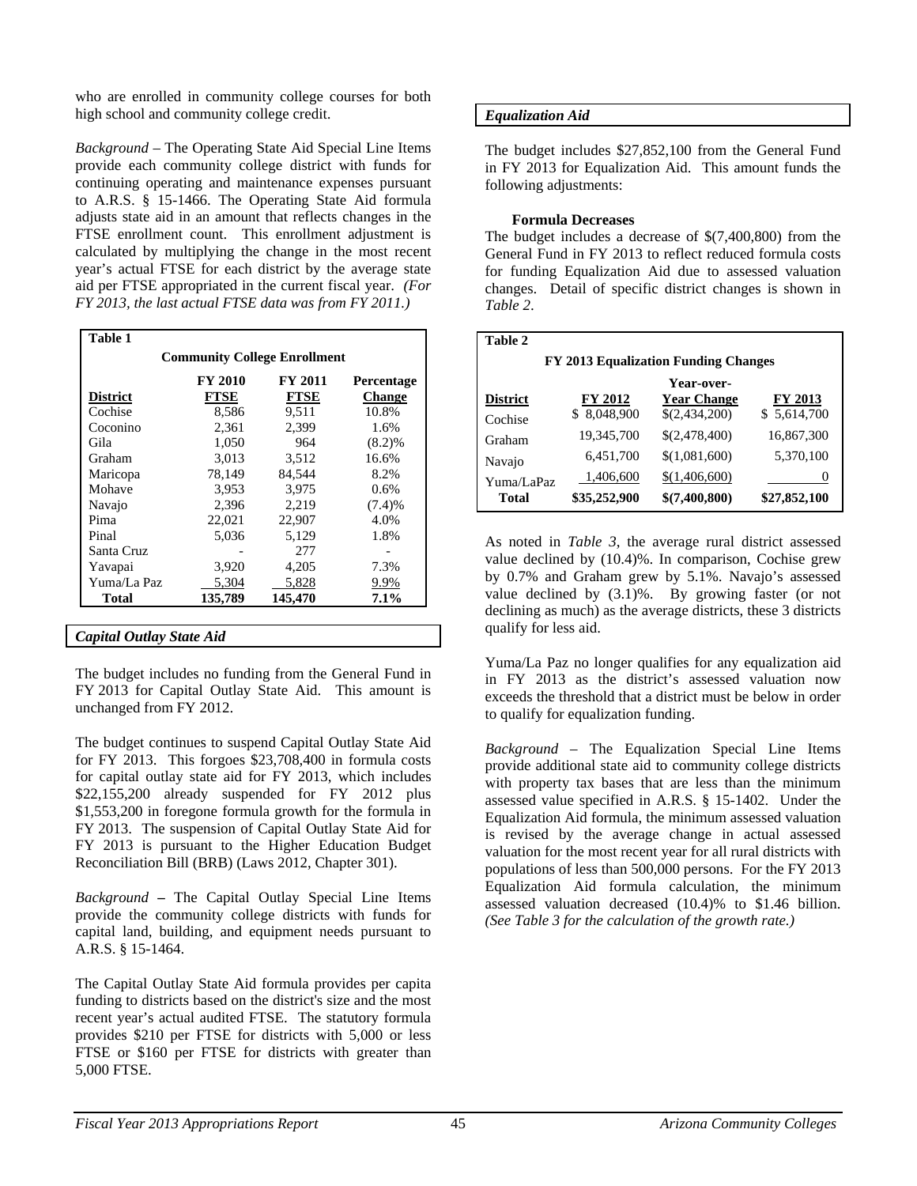who are enrolled in community college courses for both high school and community college credit.

*Background* – The Operating State Aid Special Line Items provide each community college district with funds for continuing operating and maintenance expenses pursuant to A.R.S. § 15-1466. The Operating State Aid formula adjusts state aid in an amount that reflects changes in the FTSE enrollment count. This enrollment adjustment is calculated by multiplying the change in the most recent year's actual FTSE for each district by the average state aid per FTSE appropriated in the current fiscal year. *(For FY 2013, the last actual FTSE data was from FY 2011.)*

| <b>Community College Enrollment</b> |                |                |                   |  |
|-------------------------------------|----------------|----------------|-------------------|--|
|                                     | <b>FY 2010</b> | <b>FY 2011</b> | <b>Percentage</b> |  |
| <b>District</b>                     | FTSE           | FTSE           | <b>Change</b>     |  |
| Cochise                             | 8,586          | 9,511          | 10.8%             |  |
| Coconino                            | 2,361          | 2,399          | 1.6%              |  |
| Gila                                | 1,050          | 964            | (8.2)%            |  |
| Graham                              | 3,013          | 3,512          | 16.6%             |  |
| Maricopa                            | 78.149         | 84.544         | 8.2%              |  |
| Mohave                              | 3,953          | 3,975          | $0.6\%$           |  |
| Navajo                              | 2,396          | 2,219          | (7.4)%            |  |
| Pima                                | 22,021         | 22,907         | 4.0%              |  |
| Pinal                               | 5,036          | 5,129          | 1.8%              |  |
| Santa Cruz                          |                | 277            |                   |  |
| Yavapai                             | 3,920          | 4,205          | 7.3%              |  |
| Yuma/La Paz                         | 5,304          | 5,828          | 9.9%              |  |
| <b>Total</b>                        | 135,789        | 145,470        | 7.1%              |  |

The budget includes no funding from the General Fund in FY 2013 for Capital Outlay State Aid. This amount is unchanged from FY 2012.

The budget continues to suspend Capital Outlay State Aid for FY 2013. This forgoes \$23,708,400 in formula costs for capital outlay state aid for FY 2013, which includes \$22,155,200 already suspended for FY 2012 plus \$1,553,200 in foregone formula growth for the formula in FY 2013. The suspension of Capital Outlay State Aid for FY 2013 is pursuant to the Higher Education Budget Reconciliation Bill (BRB) (Laws 2012, Chapter 301).

*Background* **–** The Capital Outlay Special Line Items provide the community college districts with funds for capital land, building, and equipment needs pursuant to A.R.S. § 15-1464.

The Capital Outlay State Aid formula provides per capita funding to districts based on the district's size and the most recent year's actual audited FTSE. The statutory formula provides \$210 per FTSE for districts with 5,000 or less FTSE or \$160 per FTSE for districts with greater than 5,000 FTSE.

# *Equalization Aid*

The budget includes \$27,852,100 from the General Fund in FY 2013 for Equalization Aid. This amount funds the following adjustments:

# **Formula Decreases**

The budget includes a decrease of \$(7,400,800) from the General Fund in FY 2013 to reflect reduced formula costs for funding Equalization Aid due to assessed valuation changes. Detail of specific district changes is shown in *Table 2*.

| Table 2                              |              |                    |              |  |  |
|--------------------------------------|--------------|--------------------|--------------|--|--|
| FY 2013 Equalization Funding Changes |              |                    |              |  |  |
|                                      |              | Year-over-         |              |  |  |
| <b>District</b>                      | FY 2012      | <b>Year Change</b> | FY 2013      |  |  |
| Cochise                              | \$ 8,048,900 | \$(2,434,200)      | \$5,614,700  |  |  |
| Graham                               | 19,345,700   | \$(2,478,400)      | 16,867,300   |  |  |
| Navajo                               | 6,451,700    | \$(1,081,600)      | 5,370,100    |  |  |
| Yuma/LaPaz                           | 1,406,600    | \$(1,406,600)      | 0            |  |  |
| Total                                | \$35,252,900 | \$(7,400,800)      | \$27,852,100 |  |  |

As noted in *Table 3*, the average rural district assessed value declined by (10.4)%. In comparison, Cochise grew by 0.7% and Graham grew by 5.1%. Navajo's assessed value declined by (3.1)%. By growing faster (or not declining as much) as the average districts, these 3 districts qualify for less aid.

Yuma/La Paz no longer qualifies for any equalization aid in FY 2013 as the district's assessed valuation now exceeds the threshold that a district must be below in order to qualify for equalization funding.

*Background* – The Equalization Special Line Items provide additional state aid to community college districts with property tax bases that are less than the minimum assessed value specified in A.R.S. § 15-1402. Under the Equalization Aid formula, the minimum assessed valuation is revised by the average change in actual assessed valuation for the most recent year for all rural districts with populations of less than 500,000 persons. For the FY 2013 Equalization Aid formula calculation, the minimum assessed valuation decreased (10.4)% to \$1.46 billion. *(See Table 3 for the calculation of the growth rate.)*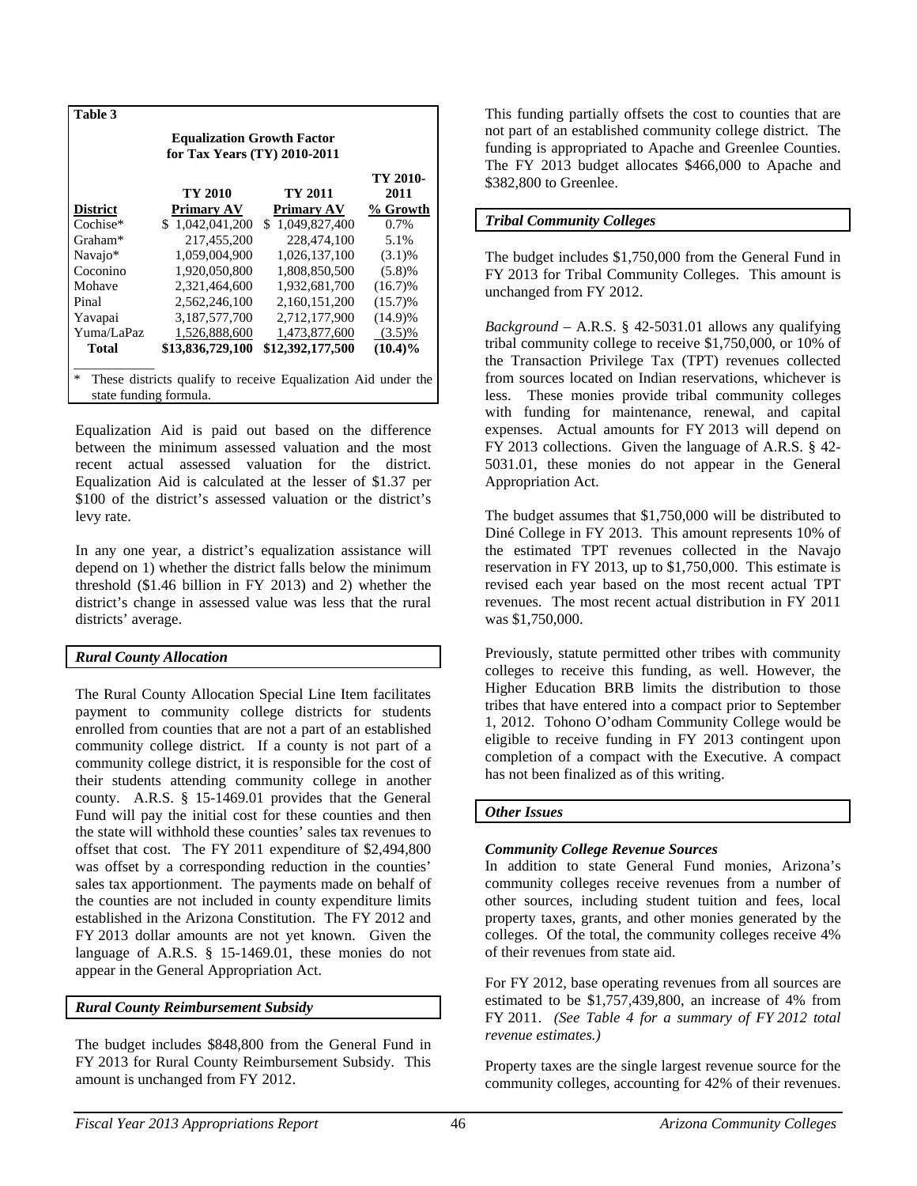| Table 3                                                                                      |                               |                               |                              |  |  |
|----------------------------------------------------------------------------------------------|-------------------------------|-------------------------------|------------------------------|--|--|
| <b>Equalization Growth Factor</b><br>for Tax Years (TY) 2010-2011                            |                               |                               |                              |  |  |
|                                                                                              | TY 2010                       | TY 2011                       | TY 2010-<br>2011<br>% Growth |  |  |
| <b>District</b><br>Cochise*                                                                  | Primary AV<br>\$1,042,041,200 | Primary AV<br>\$1,049,827,400 | $0.7\%$                      |  |  |
| Graham*                                                                                      | 217,455,200                   | 228,474,100                   | 5.1%                         |  |  |
| Navajo*                                                                                      | 1,059,004,900                 | 1,026,137,100                 | $(3.1)\%$                    |  |  |
| Coconino                                                                                     | 1,920,050,800                 | 1,808,850,500                 | (5.8)%                       |  |  |
| Mohave                                                                                       | 2,321,464,600                 | 1,932,681,700                 | $(16.7)\%$                   |  |  |
| Pinal                                                                                        | 2.562.246.100                 | 2.160.151.200                 | $(15.7)\%$                   |  |  |
| Yavapai                                                                                      | 3,187,577,700                 | 2,712,177,900                 | $(14.9)\%$                   |  |  |
| Yuma/LaPaz                                                                                   | 1,526,888,600                 | 1.473.877.600                 | $(3.5)\%$                    |  |  |
| <b>Total</b>                                                                                 | \$13,836,729,100              | \$12,392,177,500              | $(10.4)\%$                   |  |  |
| *<br>These districts qualify to receive Equalization Aid under the<br>state funding formula. |                               |                               |                              |  |  |

Equalization Aid is paid out based on the difference between the minimum assessed valuation and the most recent actual assessed valuation for the district. Equalization Aid is calculated at the lesser of \$1.37 per \$100 of the district's assessed valuation or the district's levy rate.

In any one year, a district's equalization assistance will depend on 1) whether the district falls below the minimum threshold (\$1.46 billion in FY 2013) and 2) whether the district's change in assessed value was less that the rural districts' average.

# *Rural County Allocation*

The Rural County Allocation Special Line Item facilitates payment to community college districts for students enrolled from counties that are not a part of an established community college district. If a county is not part of a community college district, it is responsible for the cost of their students attending community college in another county. A.R.S. § 15-1469.01 provides that the General Fund will pay the initial cost for these counties and then the state will withhold these counties' sales tax revenues to offset that cost. The FY 2011 expenditure of \$2,494,800 was offset by a corresponding reduction in the counties' sales tax apportionment. The payments made on behalf of the counties are not included in county expenditure limits established in the Arizona Constitution. The FY 2012 and FY 2013 dollar amounts are not yet known. Given the language of A.R.S. § 15-1469.01, these monies do not appear in the General Appropriation Act.

## *Rural County Reimbursement Subsidy*

The budget includes \$848,800 from the General Fund in FY 2013 for Rural County Reimbursement Subsidy. This amount is unchanged from FY 2012.

This funding partially offsets the cost to counties that are not part of an established community college district. The funding is appropriated to Apache and Greenlee Counties. The FY 2013 budget allocates \$466,000 to Apache and \$382,800 to Greenlee.

# *Tribal Community Colleges*

The budget includes \$1,750,000 from the General Fund in FY 2013 for Tribal Community Colleges. This amount is unchanged from FY 2012.

*Background* – A.R.S. § 42-5031.01 allows any qualifying tribal community college to receive \$1,750,000, or 10% of the Transaction Privilege Tax (TPT) revenues collected from sources located on Indian reservations, whichever is less. These monies provide tribal community colleges with funding for maintenance, renewal, and capital expenses. Actual amounts for FY 2013 will depend on FY 2013 collections. Given the language of A.R.S. § 42- 5031.01, these monies do not appear in the General Appropriation Act.

The budget assumes that \$1,750,000 will be distributed to Diné College in FY 2013. This amount represents 10% of the estimated TPT revenues collected in the Navajo reservation in FY 2013, up to \$1,750,000. This estimate is revised each year based on the most recent actual TPT revenues. The most recent actual distribution in FY 2011 was \$1,750,000.

Previously, statute permitted other tribes with community colleges to receive this funding, as well. However, the Higher Education BRB limits the distribution to those tribes that have entered into a compact prior to September 1, 2012. Tohono O'odham Community College would be eligible to receive funding in FY 2013 contingent upon completion of a compact with the Executive. A compact has not been finalized as of this writing.

# *Other Issues*

# *Community College Revenue Sources*

In addition to state General Fund monies, Arizona's community colleges receive revenues from a number of other sources, including student tuition and fees, local property taxes, grants, and other monies generated by the colleges. Of the total, the community colleges receive 4% of their revenues from state aid.

For FY 2012, base operating revenues from all sources are estimated to be \$1,757,439,800, an increase of 4% from FY 2011. *(See Table 4 for a summary of FY 2012 total revenue estimates.)* 

Property taxes are the single largest revenue source for the community colleges, accounting for 42% of their revenues.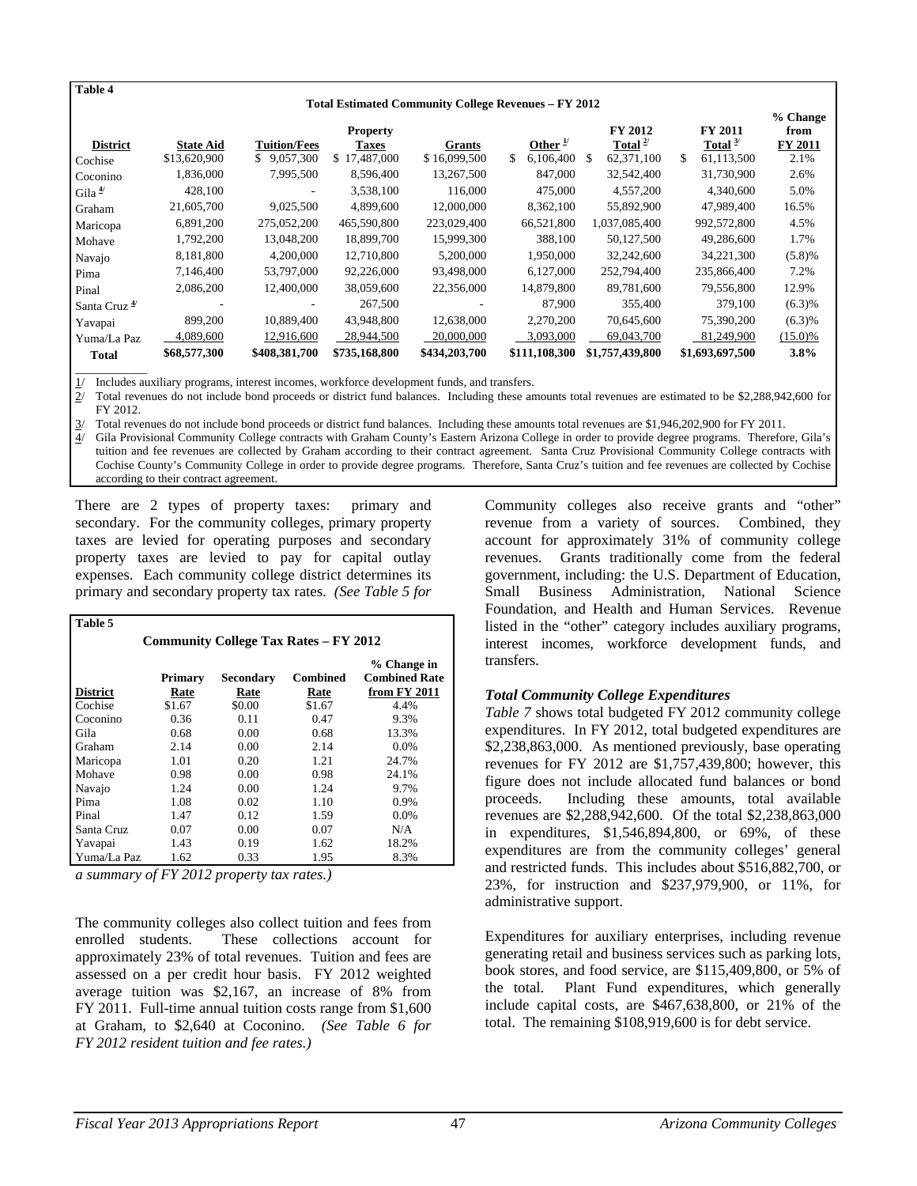| Table 4                                                     |                                  |                                    |                                          |                        |                                         |                                                      |                                                  |                                |
|-------------------------------------------------------------|----------------------------------|------------------------------------|------------------------------------------|------------------------|-----------------------------------------|------------------------------------------------------|--------------------------------------------------|--------------------------------|
| <b>Total Estimated Community College Revenues - FY 2012</b> |                                  |                                    |                                          |                        |                                         | % Change                                             |                                                  |                                |
| <b>District</b>                                             | <b>State Aid</b><br>\$13,620,900 | <b>Tuition/Fees</b><br>\$9,057,300 | <b>Property</b><br>Taxes<br>\$17,487,000 | Grants<br>\$16,099,500 | Other $\frac{1}{2}$<br>\$.<br>6,106,400 | <b>FY 2012</b><br>Total $^{2/}$<br>62,371,100<br>\$. | <b>FY 2011</b><br>Total $3/$<br>\$<br>61,113,500 | from<br><b>FY 2011</b><br>2.1% |
| Cochise<br>Coconino                                         | 1,836,000                        | 7,995,500                          | 8.596.400                                | 13,267,500             | 847,000                                 | 32,542,400                                           | 31,730,900                                       | 2.6%                           |
| Gila $4$                                                    | 428,100                          |                                    | 3,538,100                                | 116,000                | 475,000                                 | 4,557,200                                            | 4,340,600                                        | 5.0%                           |
| Graham                                                      | 21,605,700                       | 9,025,500                          | 4.899,600                                | 12,000,000             | 8,362,100                               | 55,892,900                                           | 47,989,400                                       | 16.5%                          |
| Maricopa                                                    | 6,891,200                        | 275,052,200                        | 465,590,800                              | 223,029,400            | 66,521,800                              | 1,037,085,400                                        | 992,572,800                                      | 4.5%                           |
| Mohave                                                      | 1,792,200                        | 13,048,200                         | 18,899,700                               | 15,999,300             | 388,100                                 | 50,127,500                                           | 49,286,600                                       | 1.7%                           |
| Navajo                                                      | 8,181,800                        | 4,200,000                          | 12,710,800                               | 5,200,000              | 1,950,000                               | 32,242,600                                           | 34,221,300                                       | (5.8)%                         |
| Pima                                                        | 7,146,400                        | 53,797,000                         | 92,226,000                               | 93,498,000             | 6,127,000                               | 252,794,400                                          | 235,866,400                                      | 7.2%                           |
| Pinal                                                       | 2,086,200                        | 12,400,000                         | 38,059,600                               | 22,356,000             | 14,879,800                              | 89,781,600                                           | 79,556,800                                       | 12.9%                          |
| Santa Cruz <sup>4/</sup>                                    |                                  |                                    | 267,500                                  |                        | 87,900                                  | 355,400                                              | 379,100                                          | (6.3)%                         |
| Yavapai                                                     | 899,200                          | 10,889,400                         | 43,948,800                               | 12,638,000             | 2,270,200                               | 70,645,600                                           | 75,390,200                                       | (6.3)%                         |
| Yuma/La Paz                                                 | 4,089,600                        | 12,916,600                         | 28,944,500                               | 20,000,000             | 3,093,000                               | 69,043,700                                           | 81,249,900                                       | $(15.0)\%$                     |
| <b>Total</b>                                                | \$68,577,300                     | \$408,381,700                      | \$735,168,800                            | \$434,203,700          | \$111,108,300                           | \$1,757,439,800                                      | \$1,693,697,500                                  | $3.8\%$                        |

 $\overline{\phantom{a}}$ 

 $\frac{1}{2}$  Includes auxiliary programs, interest incomes, workforce development funds, and transfers.<br> $\frac{2}{1}$  Total revenues do not include bond proceeds or district fund balances. Including these and 2/ Total revenues do not include bond proceeds or district fund balances. Including these amounts total revenues are estimated to be \$2,288,942,600 for FY 2012.

3/ Total revenues do not include bond proceeds or district fund balances. Including these amounts total revenues are \$1,946,202,900 for FY 2011.

4/ Gila Provisional Community College contracts with Graham County's Eastern Arizona College in order to provide degree programs. Therefore, Gila's tuition and fee revenues are collected by Graham according to their contract agreement. Santa Cruz Provisional Community College contracts with Cochise County's Community College in order to provide degree programs. Therefore, Santa Cruz's tuition and fee revenues are collected by Cochise according to their contract agreement.

There are 2 types of property taxes: primary and secondary. For the community colleges, primary property taxes are levied for operating purposes and secondary property taxes are levied to pay for capital outlay expenses. Each community college district determines its primary and secondary property tax rates. *(See Table 5 for* 

| Table 5         |                 |                   |                                              |                                                     |
|-----------------|-----------------|-------------------|----------------------------------------------|-----------------------------------------------------|
|                 |                 |                   | <b>Community College Tax Rates – FY 2012</b> |                                                     |
| <b>District</b> | Primary<br>Rate | Secondary<br>Rate | <b>Combined</b><br>Rate                      | % Change in<br><b>Combined Rate</b><br>from FY 2011 |
| Cochise         | \$1.67          | \$0.00            | \$1.67                                       | 4.4%                                                |
| Coconino        | 0.36            | 0.11              | 0.47                                         | 9.3%                                                |
| Gila            | 0.68            | 0.00              | 0.68                                         | 13.3%                                               |
| Graham          | 2.14            | 0.00              | 2.14                                         | $0.0\%$                                             |
| Maricopa        | 1.01            | 0.20              | 1.21                                         | 24.7%                                               |
| Mohave          | 0.98            | 0.00              | 0.98                                         | 24.1%                                               |
| Navajo          | 1.24            | 0.00              | 1.24                                         | 9.7%                                                |
| Pima            | 1.08            | 0.02              | 1.10                                         | 0.9%                                                |
| Pinal           | 1.47            | 0.12              | 1.59                                         | 0.0%                                                |
| Santa Cruz      | 0.07            | 0.00              | 0.07                                         | N/A                                                 |
| Yavapai         | 1.43            | 0.19              | 1.62                                         | 18.2%                                               |
| Yuma/La Paz     | 1.62            | 0.33              | 1.95                                         | 8.3%                                                |

*a summary of FY 2012 property tax rates.)*

The community colleges also collect tuition and fees from enrolled students. These collections account for approximately 23% of total revenues. Tuition and fees are assessed on a per credit hour basis. FY 2012 weighted average tuition was \$2,167, an increase of 8% from FY 2011. Full-time annual tuition costs range from \$1,600 at Graham, to \$2,640 at Coconino. *(See Table 6 for FY 2012 resident tuition and fee rates.)* 

Community colleges also receive grants and "other" revenue from a variety of sources. Combined, they account for approximately 31% of community college revenues. Grants traditionally come from the federal government, including: the U.S. Department of Education, Small Business Administration, National Science Foundation, and Health and Human Services. Revenue listed in the "other" category includes auxiliary programs, interest incomes, workforce development funds, and transfers.

## *Total Community College Expenditures*

*Table 7* shows total budgeted FY 2012 community college expenditures. In FY 2012, total budgeted expenditures are \$2,238,863,000. As mentioned previously, base operating revenues for FY 2012 are \$1,757,439,800; however, this figure does not include allocated fund balances or bond proceeds. Including these amounts, total available revenues are \$2,288,942,600. Of the total \$2,238,863,000 in expenditures, \$1,546,894,800, or 69%, of these expenditures are from the community colleges' general and restricted funds. This includes about \$516,882,700, or 23%, for instruction and \$237,979,900, or 11%, for administrative support.

Expenditures for auxiliary enterprises, including revenue generating retail and business services such as parking lots, book stores, and food service, are \$115,409,800, or 5% of the total. Plant Fund expenditures, which generally include capital costs, are \$467,638,800, or 21% of the total. The remaining \$108,919,600 is for debt service.